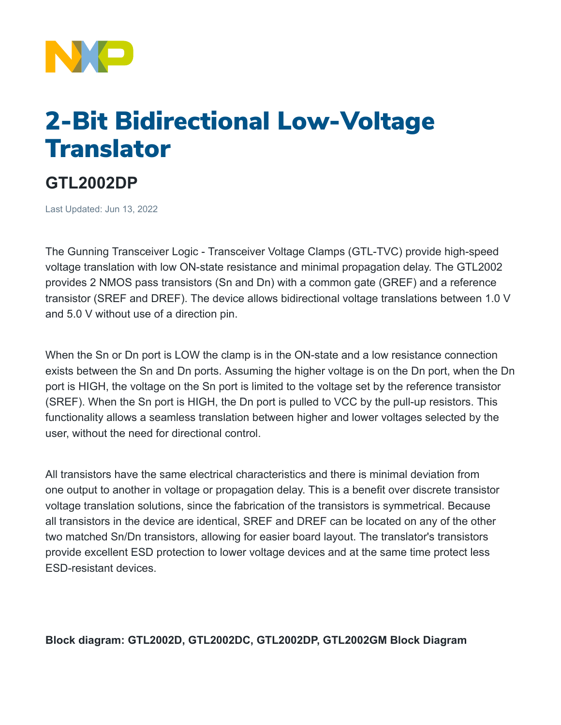

## 2-Bit Bidirectional Low-Voltage **Translator**

## **GTL2002DP**

Last Updated: Jun 13, 2022

The Gunning Transceiver Logic - Transceiver Voltage Clamps (GTL-TVC) provide high-speed voltage translation with low ON-state resistance and minimal propagation delay. The GTL2002 provides 2 NMOS pass transistors (Sn and Dn) with a common gate (GREF) and a reference transistor (SREF and DREF). The device allows bidirectional voltage translations between 1.0 V and 5.0 V without use of a direction pin.

When the Sn or Dn port is LOW the clamp is in the ON-state and a low resistance connection exists between the Sn and Dn ports. Assuming the higher voltage is on the Dn port, when the Dn port is HIGH, the voltage on the Sn port is limited to the voltage set by the reference transistor (SREF). When the Sn port is HIGH, the Dn port is pulled to VCC by the pull-up resistors. This functionality allows a seamless translation between higher and lower voltages selected by the user, without the need for directional control.

All transistors have the same electrical characteristics and there is minimal deviation from one output to another in voltage or propagation delay. This is a benefit over discrete transistor voltage translation solutions, since the fabrication of the transistors is symmetrical. Because all transistors in the device are identical, SREF and DREF can be located on any of the other two matched Sn/Dn transistors, allowing for easier board layout. The translator's transistors provide excellent ESD protection to lower voltage devices and at the same time protect less ESD-resistant devices.

**Block diagram: GTL2002D, GTL2002DC, GTL2002DP, GTL2002GM Block Diagram**